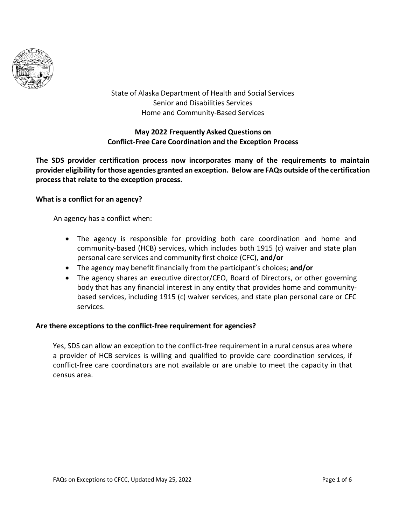

State of Alaska Department of Health and Social Services Senior and Disabilities Services Home and Community-Based Services

# **May 2022 Frequently Asked Questions on Conflict-Free Care Coordination and the Exception Process**

**The SDS provider certification process now incorporates many of the requirements to maintain provider eligibility forthose agencies granted an exception. Below are FAQs outside of the certification process that relate to the exception process.**

## **What is a conflict for an agency?**

An agency has a conflict when:

- The agency is responsible for providing both care coordination and home and community-based (HCB) services, which includes both 1915 (c) waiver and state plan personal care services and community first choice (CFC), **and/or**
- The agency may benefit financially from the participant's choices; **and/or**
- The agency shares an executive director/CEO, Board of Directors, or other governing body that has any financial interest in any entity that provides home and communitybased services, including 1915 (c) waiver services, and state plan personal care or CFC services.

## **Are there exceptions to the conflict-free requirement for agencies?**

Yes, SDS can allow an exception to the conflict-free requirement in a rural census area where a provider of HCB services is willing and qualified to provide care coordination services, if conflict-free care coordinators are not available or are unable to meet the capacity in that census area.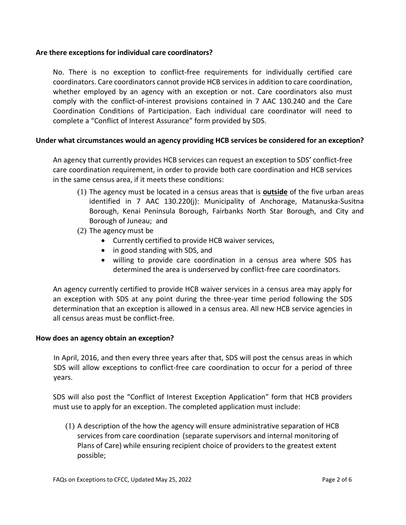## **Are there exceptions for individual care coordinators?**

No. There is no exception to conflict-free requirements for individually certified care coordinators. Care coordinators cannot provide HCB services in addition to care coordination, whether employed by an agency with an exception or not. Care coordinators also must comply with the conflict-of-interest provisions contained in 7 AAC 130.240 and the Care Coordination Conditions of Participation. Each individual care coordinator will need to complete a "Conflict of Interest Assurance" form provided by SDS.

## **Under what circumstances would an agency providing HCB services be considered for an exception?**

An agency that currently provides HCB services can request an exception to SDS' conflict-free care coordination requirement, in order to provide both care coordination and HCB services in the same census area, if it meets these conditions:

- (1) The agency must be located in a census areas that is **outside** of the five urban areas identified in 7 AAC 130.220(j): Municipality of Anchorage, Matanuska-Susitna Borough, Kenai Peninsula Borough, Fairbanks North Star Borough, and City and Borough of Juneau; and
- (2) The agency must be
	- Currently certified to provide HCB waiver services,
	- in good standing with SDS, and
	- willing to provide care coordination in a census area where SDS has determined the area is underserved by conflict-free care coordinators.

An agency currently certified to provide HCB waiver services in a census area may apply for an exception with SDS at any point during the three-year time period following the SDS determination that an exception is allowed in a census area. All new HCB service agencies in all census areas must be conflict-free.

## **How does an agency obtain an exception?**

In April, 2016, and then every three years after that, SDS will post the census areas in which SDS will allow exceptions to conflict-free care coordination to occur for a period of three years.

SDS will also post the "Conflict of Interest Exception Application" form that HCB providers must use to apply for an exception. The completed application must include:

(1) A description of the how the agency will ensure administrative separation of HCB services from care coordination (separate supervisors and internal monitoring of Plans of Care) while ensuring recipient choice of providers to the greatest extent possible;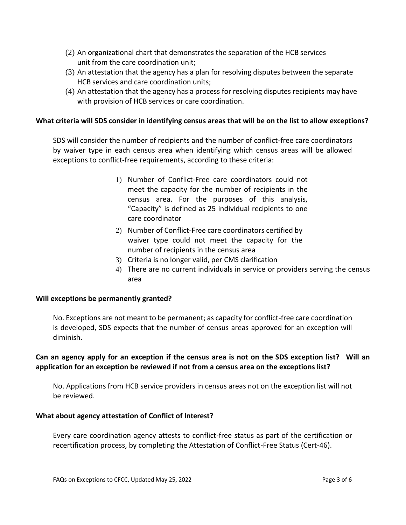- (2) An organizational chart that demonstrates the separation of the HCB services unit from the care coordination unit;
- (3) An attestation that the agency has a plan for resolving disputes between the separate HCB services and care coordination units;
- (4) An attestation that the agency has a process for resolving disputes recipients may have with provision of HCB services or care coordination.

## **What criteria will SDS consider in identifying census areas that will be on the list to allow exceptions?**

SDS will consider the number of recipients and the number of conflict-free care coordinators by waiver type in each census area when identifying which census areas will be allowed exceptions to conflict-free requirements, according to these criteria:

- 1) Number of Conflict-Free care coordinators could not meet the capacity for the number of recipients in the census area. For the purposes of this analysis, "Capacity" is defined as 25 individual recipients to one care coordinator
- 2) Number of Conflict-Free care coordinators certified by waiver type could not meet the capacity for the number of recipients in the census area
- 3) Criteria is no longer valid, per CMS clarification
- 4) There are no current individuals in service or providers serving the census area

## **Will exceptions be permanently granted?**

No. Exceptions are not meant to be permanent; as capacity for conflict-free care coordination is developed, SDS expects that the number of census areas approved for an exception will diminish.

# Can an agency apply for an exception if the census area is not on the SDS exception list? Will an **application for an exception be reviewed if not from a census area on the exceptions list?**

No. Applications from HCB service providers in census areas not on the exception list will not be reviewed.

## **What about agency attestation of Conflict of Interest?**

Every care coordination agency attests to conflict-free status as part of the certification or recertification process, by completing the Attestation of Conflict-Free Status (Cert-46).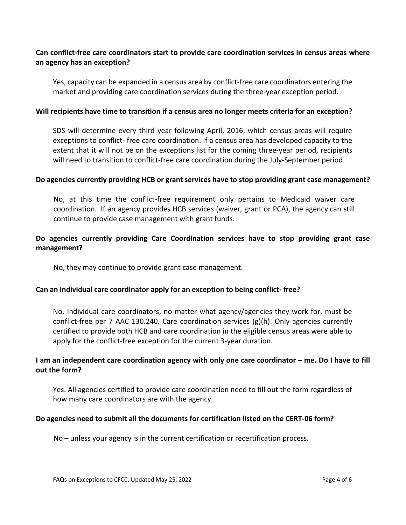# **Can conflict-free care coordinators start to provide care coordination services in census areas where an agency has an exception?**

Yes, capacity can be expanded in a census area by conflict-free care coordinators entering the market and providing care coordination services during the three-year exception period.

#### **Will recipients have time to transition if a census area no longer meets criteria for an exception?**

SDS will determine every third year following April, 2016, which census areas will require exceptions to conflict- free care coordination. If a census area has developed capacity to the extent that it will not be on the exceptions list for the coming three-year period, recipients will need to transition to conflict-free care coordination during the July-September period.

#### **Do agencies currently providing HCB or grant services have to stop providing grant case management?**

No, at this time the conflict-free requirement only pertains to Medicaid waiver care coordination. If an agency provides HCB services (waiver, grant or PCA), the agency can still continue to provide case management with grant funds.

# **Do agencies currently providing Care Coordination services have to stop providing grant case management?**

No, they may continue to provide grant case management.

## **Can an individual care coordinator apply for an exception to being conflict- free?**

No. Individual care coordinators, no matter what agency/agencies they work for, must be conflict-free per [7 AAC](http://www.legis.state.ak.us/basis/folioproxy.asp?url=http%3A//wwwjnu01.legis.state.ak.us/cgi-bin/folioisa.dll/aac/query%3D%5bGroup%2B!277%2Baac%2B130!2E240!27!3A%5d/doc/%7b%401%7d/hits_only%3Ffirsthit) [130.240. Care coordination services \(g\)\(h\). O](http://www.legis.state.ak.us/basis/folioproxy.asp?url=http%3A//wwwjnu01.legis.state.ak.us/cgi-bin/folioisa.dll/aac/query%3D%5bGroup%2B!277%2Baac%2B130!2E240!27!3A%5d/doc/%7b%401%7d/hits_only%3Ffirsthit)nly agencies currently certified to provide both HCB and care coordination in the eligible census areas were able to apply for the conflict-free exception for the current 3-year duration.

## I am an independent care coordination agency with only one care coordinator – me. Do I have to fill **out the form?**

Yes. All agencies certified to provide care coordination need to fill out the form regardless of how many care coordinators are with the agency.

#### **Do agencies need to submit all the documents for certification listed on the CERT-06 form?**

No – unless your agency is in the current certification or recertification process.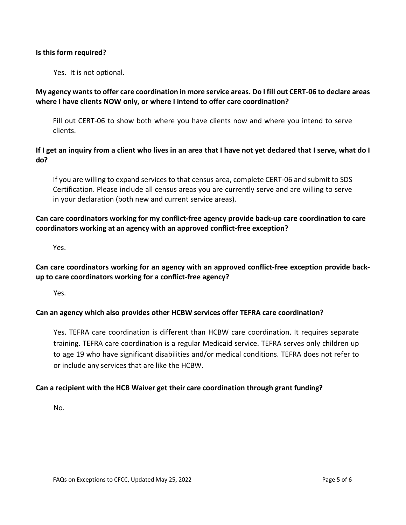#### **Is this form required?**

Yes. It is not optional.

## **My agency wantsto offer care coordination in more service areas. Do I fill out CERT-06 to declare areas where I have clients NOW only, or where I intend to offer care coordination?**

Fill out CERT-06 to show both where you have clients now and where you intend to serve clients.

# If I get an inquiry from a client who lives in an area that I have not yet declared that I serve, what do I **do?**

If you are willing to expand services to that census area, complete CERT-06 and submit to SDS Certification. Please include all census areas you are currently serve and are willing to serve in your declaration (both new and current service areas).

# **Can care coordinators working for my conflict-free agency provide back-up care coordination to care coordinators working at an agency with an approved conflict-free exception?**

Yes.

# **Can care coordinators working for an agency with an approved conflict-free exception provide backup to care coordinators working for a conflict-free agency?**

Yes.

## **Can an agency which also provides other HCBW services offer TEFRA care coordination?**

Yes. TEFRA care coordination is different than HCBW care coordination. It requires separate training. TEFRA care coordination is a regular Medicaid service. TEFRA serves only children up to age 19 who have significant disabilities and/or medical conditions. TEFRA does not refer to or include any services that are like the HCBW.

## **Can a recipient with the HCB Waiver get their care coordination through grant funding?**

No.